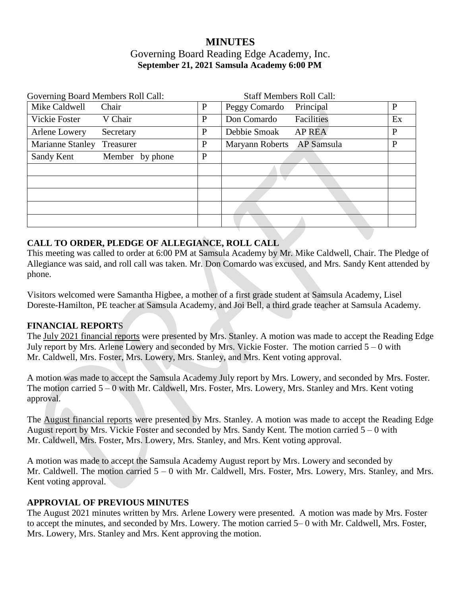# **MINUTES** Governing Board Reading Edge Academy, Inc. **September 21, 2021 Samsula Academy 6:00 PM**

| Governing Board Members Roll Call: |              | <b>Staff Members Roll Call:</b> |    |
|------------------------------------|--------------|---------------------------------|----|
| Mike Caldwell<br>Chair             | $\mathbf{P}$ | Peggy Comardo<br>Principal      | P  |
| V Chair<br>Vickie Foster           | $\mathbf{P}$ | Facilities<br>Don Comardo       | Ex |
| Arlene Lowery<br>Secretary         | P            | Debbie Smoak<br><b>AP REA</b>   | P  |
| Marianne Stanley<br>Treasurer      | $\mathbf{P}$ | AP Samsula<br>Maryann Roberts   | P  |
| Sandy Kent<br>Member by phone      | $\mathbf{P}$ |                                 |    |
|                                    |              |                                 |    |
|                                    |              |                                 |    |
|                                    |              |                                 |    |
|                                    |              |                                 |    |
|                                    |              |                                 |    |

#### **CALL TO ORDER, PLEDGE OF ALLEGIANCE, ROLL CALL**

This meeting was called to order at 6:00 PM at Samsula Academy by Mr. Mike Caldwell, Chair. The Pledge of Allegiance was said, and roll call was taken. Mr. Don Comardo was excused, and Mrs. Sandy Kent attended by phone.

Visitors welcomed were Samantha Higbee, a mother of a first grade student at Samsula Academy, Lisel Doreste-Hamilton, PE teacher at Samsula Academy, and Joi Bell, a third grade teacher at Samsula Academy.

#### **FINANCIAL REPORT**S

The July 2021 financial reports were presented by Mrs. Stanley. A motion was made to accept the Reading Edge July report by Mrs. Arlene Lowery and seconded by Mrs. Vickie Foster. The motion carried 5 – 0 with Mr. Caldwell, Mrs. Foster, Mrs. Lowery, Mrs. Stanley, and Mrs. Kent voting approval.

A motion was made to accept the Samsula Academy July report by Mrs. Lowery, and seconded by Mrs. Foster. The motion carried 5 – 0 with Mr. Caldwell, Mrs. Foster, Mrs. Lowery, Mrs. Stanley and Mrs. Kent voting approval.

The August financial reports were presented by Mrs. Stanley. A motion was made to accept the Reading Edge August report by Mrs. Vickie Foster and seconded by Mrs. Sandy Kent. The motion carried 5 – 0 with Mr. Caldwell, Mrs. Foster, Mrs. Lowery, Mrs. Stanley, and Mrs. Kent voting approval.

A motion was made to accept the Samsula Academy August report by Mrs. Lowery and seconded by Mr. Caldwell. The motion carried 5 – 0 with Mr. Caldwell, Mrs. Foster, Mrs. Lowery, Mrs. Stanley, and Mrs. Kent voting approval.

#### **APPROVIAL OF PREVIOUS MINUTES**

The August 2021 minutes written by Mrs. Arlene Lowery were presented. A motion was made by Mrs. Foster to accept the minutes, and seconded by Mrs. Lowery. The motion carried 5– 0 with Mr. Caldwell, Mrs. Foster, Mrs. Lowery, Mrs. Stanley and Mrs. Kent approving the motion.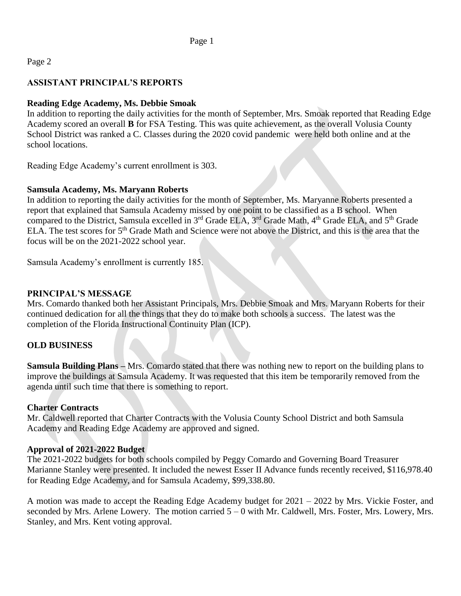### Page 2

## **ASSISTANT PRINCIPAL'S REPORTS**

### **Reading Edge Academy, Ms. Debbie Smoak**

In addition to reporting the daily activities for the month of September, Mrs. Smoak reported that Reading Edge Academy scored an overall **B** for FSA Testing. This was quite achievement, as the overall Volusia County School District was ranked a C. Classes during the 2020 covid pandemic were held both online and at the school locations.

Reading Edge Academy's current enrollment is 303.

#### **Samsula Academy, Ms. Maryann Roberts**

In addition to reporting the daily activities for the month of September, Ms. Maryanne Roberts presented a report that explained that Samsula Academy missed by one point to be classified as a B school. When compared to the District, Samsula excelled in 3<sup>rd</sup> Grade ELA, 3<sup>rd</sup> Grade Math, 4<sup>th</sup> Grade ELA, and 5<sup>th</sup> Grade ELA. The test scores for 5th Grade Math and Science were not above the District, and this is the area that the focus will be on the 2021-2022 school year.

Samsula Academy's enrollment is currently 185.

### **PRINCIPAL'S MESSAGE**

Mrs. Comardo thanked both her Assistant Principals, Mrs. Debbie Smoak and Mrs. Maryann Roberts for their continued dedication for all the things that they do to make both schools a success. The latest was the completion of the Florida Instructional Continuity Plan (ICP).

#### **OLD BUSINESS**

**Samsula Building Plans –** Mrs. Comardo stated that there was nothing new to report on the building plans to improve the buildings at Samsula Academy. It was requested that this item be temporarily removed from the agenda until such time that there is something to report.

#### **Charter Contracts**

Mr. Caldwell reported that Charter Contracts with the Volusia County School District and both Samsula Academy and Reading Edge Academy are approved and signed.

#### **Approval of 2021-2022 Budget**

The 2021-2022 budgets for both schools compiled by Peggy Comardo and Governing Board Treasurer Marianne Stanley were presented. It included the newest Esser II Advance funds recently received, \$116,978.40 for Reading Edge Academy, and for Samsula Academy, \$99,338.80.

A motion was made to accept the Reading Edge Academy budget for 2021 – 2022 by Mrs. Vickie Foster, and seconded by Mrs. Arlene Lowery. The motion carried 5 – 0 with Mr. Caldwell, Mrs. Foster, Mrs. Lowery, Mrs. Stanley, and Mrs. Kent voting approval.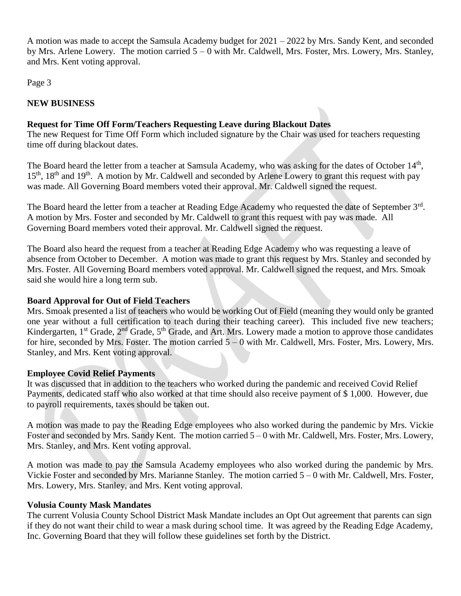A motion was made to accept the Samsula Academy budget for 2021 – 2022 by Mrs. Sandy Kent, and seconded by Mrs. Arlene Lowery. The motion carried 5 – 0 with Mr. Caldwell, Mrs. Foster, Mrs. Lowery, Mrs. Stanley, and Mrs. Kent voting approval.

Page 3

## **NEW BUSINESS**

## **Request for Time Off Form/Teachers Requesting Leave during Blackout Dates**

The new Request for Time Off Form which included signature by the Chair was used for teachers requesting time off during blackout dates.

The Board heard the letter from a teacher at Samsula Academy, who was asking for the dates of October 14<sup>th</sup>,  $15<sup>th</sup>$ ,  $18<sup>th</sup>$  and  $19<sup>th</sup>$ . A motion by Mr. Caldwell and seconded by Arlene Lowery to grant this request with pay was made. All Governing Board members voted their approval. Mr. Caldwell signed the request.

The Board heard the letter from a teacher at Reading Edge Academy who requested the date of September 3<sup>rd</sup>. A motion by Mrs. Foster and seconded by Mr. Caldwell to grant this request with pay was made. All Governing Board members voted their approval. Mr. Caldwell signed the request.

The Board also heard the request from a teacher at Reading Edge Academy who was requesting a leave of absence from October to December. A motion was made to grant this request by Mrs. Stanley and seconded by Mrs. Foster. All Governing Board members voted approval. Mr. Caldwell signed the request, and Mrs. Smoak said she would hire a long term sub.

### **Board Approval for Out of Field Teachers**

Mrs. Smoak presented a list of teachers who would be working Out of Field (meaning they would only be granted one year without a full certification to teach during their teaching career). This included five new teachers; Kindergarten, 1<sup>st</sup> Grade, 2<sup>nd</sup> Grade, 5<sup>th</sup> Grade, and Art. Mrs. Lowery made a motion to approve those candidates for hire, seconded by Mrs. Foster. The motion carried 5 – 0 with Mr. Caldwell, Mrs. Foster, Mrs. Lowery, Mrs. Stanley, and Mrs. Kent voting approval.

#### **Employee Covid Relief Payments**

It was discussed that in addition to the teachers who worked during the pandemic and received Covid Relief Payments, dedicated staff who also worked at that time should also receive payment of \$ 1,000. However, due to payroll requirements, taxes should be taken out.

A motion was made to pay the Reading Edge employees who also worked during the pandemic by Mrs. Vickie Foster and seconded by Mrs. Sandy Kent. The motion carried 5 – 0 with Mr. Caldwell, Mrs. Foster, Mrs. Lowery, Mrs. Stanley, and Mrs. Kent voting approval.

A motion was made to pay the Samsula Academy employees who also worked during the pandemic by Mrs. Vickie Foster and seconded by Mrs. Marianne Stanley. The motion carried 5 – 0 with Mr. Caldwell, Mrs. Foster, Mrs. Lowery, Mrs. Stanley, and Mrs. Kent voting approval.

#### **Volusia County Mask Mandates**

The current Volusia County School District Mask Mandate includes an Opt Out agreement that parents can sign if they do not want their child to wear a mask during school time. It was agreed by the Reading Edge Academy, Inc. Governing Board that they will follow these guidelines set forth by the District.